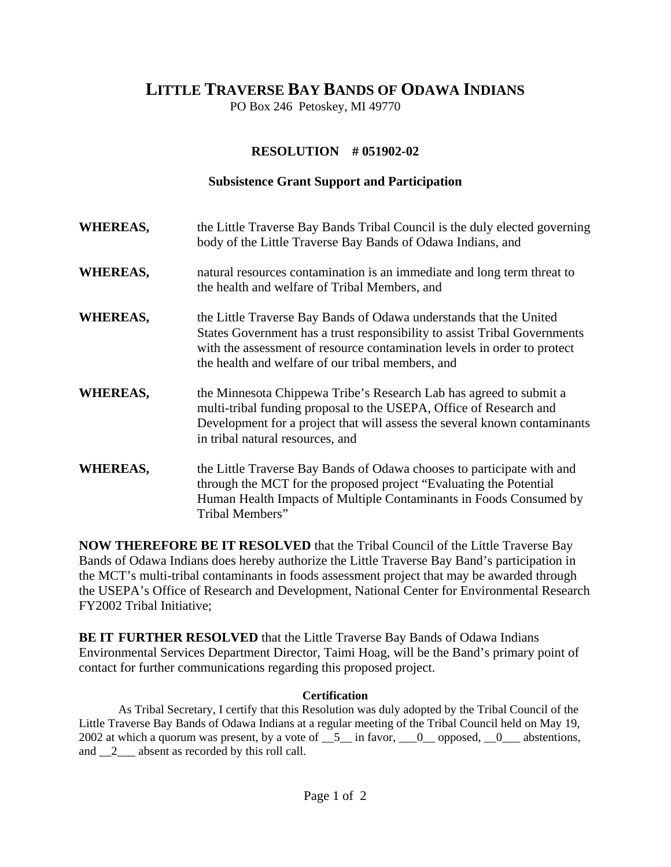## **LITTLE TRAVERSE BAY BANDS OF ODAWA INDIANS**

PO Box 246 Petoskey, MI 49770

## **RESOLUTION # 051902-02**

## **Subsistence Grant Support and Participation**

**WHEREAS,** the Little Traverse Bay Bands Tribal Council is the duly elected governing body of the Little Traverse Bay Bands of Odawa Indians, and **WHEREAS,** natural resources contamination is an immediate and long term threat to the health and welfare of Tribal Members, and **WHEREAS,** the Little Traverse Bay Bands of Odawa understands that the United States Government has a trust responsibility to assist Tribal Governments with the assessment of resource contamination levels in order to protect the health and welfare of our tribal members, and **WHEREAS,** the Minnesota Chippewa Tribe's Research Lab has agreed to submit a multi-tribal funding proposal to the USEPA, Office of Research and Development for a project that will assess the several known contaminants in tribal natural resources, and **WHEREAS,** the Little Traverse Bay Bands of Odawa chooses to participate with and through the MCT for the proposed project "Evaluating the Potential Human Health Impacts of Multiple Contaminants in Foods Consumed by Tribal Members"

**NOW THEREFORE BE IT RESOLVED** that the Tribal Council of the Little Traverse Bay Bands of Odawa Indians does hereby authorize the Little Traverse Bay Band's participation in the MCT's multi-tribal contaminants in foods assessment project that may be awarded through the USEPA's Office of Research and Development, National Center for Environmental Research FY2002 Tribal Initiative;

**BE IT FURTHER RESOLVED** that the Little Traverse Bay Bands of Odawa Indians Environmental Services Department Director, Taimi Hoag, will be the Band's primary point of contact for further communications regarding this proposed project.

## **Certification**

 As Tribal Secretary, I certify that this Resolution was duly adopted by the Tribal Council of the Little Traverse Bay Bands of Odawa Indians at a regular meeting of the Tribal Council held on May 19, 2002 at which a quorum was present, by a vote of  $\_\_5\_\$ in favor,  $\_\_0\_\_$  opposed,  $\_\_0\_\_$  abstentions, and  $\overline{2}$  absent as recorded by this roll call.